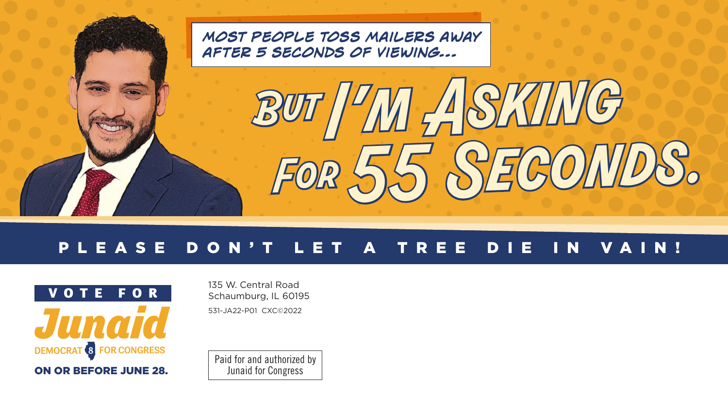

## PLEASE DON'T LET A TREE DIE IN VAIN!



135 W. Central Road Schaumburg, IL 60195 531-JA22-P01 CXC©2022

Paid for and authorized by Junaid for Congress